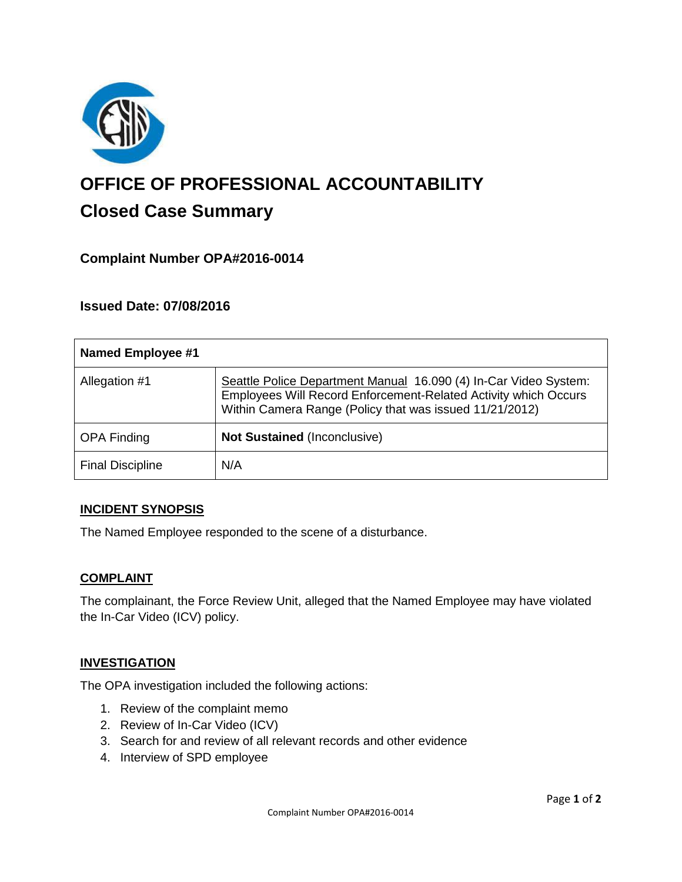

# **OFFICE OF PROFESSIONAL ACCOUNTABILITY Closed Case Summary**

# **Complaint Number OPA#2016-0014**

# **Issued Date: 07/08/2016**

| <b>Named Employee #1</b> |                                                                                                                                                                                                |
|--------------------------|------------------------------------------------------------------------------------------------------------------------------------------------------------------------------------------------|
| Allegation #1            | Seattle Police Department Manual 16.090 (4) In-Car Video System:<br>Employees Will Record Enforcement-Related Activity which Occurs<br>Within Camera Range (Policy that was issued 11/21/2012) |
| <b>OPA Finding</b>       | <b>Not Sustained (Inconclusive)</b>                                                                                                                                                            |
| <b>Final Discipline</b>  | N/A                                                                                                                                                                                            |

## **INCIDENT SYNOPSIS**

The Named Employee responded to the scene of a disturbance.

#### **COMPLAINT**

The complainant, the Force Review Unit, alleged that the Named Employee may have violated the In-Car Video (ICV) policy.

## **INVESTIGATION**

The OPA investigation included the following actions:

- 1. Review of the complaint memo
- 2. Review of In-Car Video (ICV)
- 3. Search for and review of all relevant records and other evidence
- 4. Interview of SPD employee